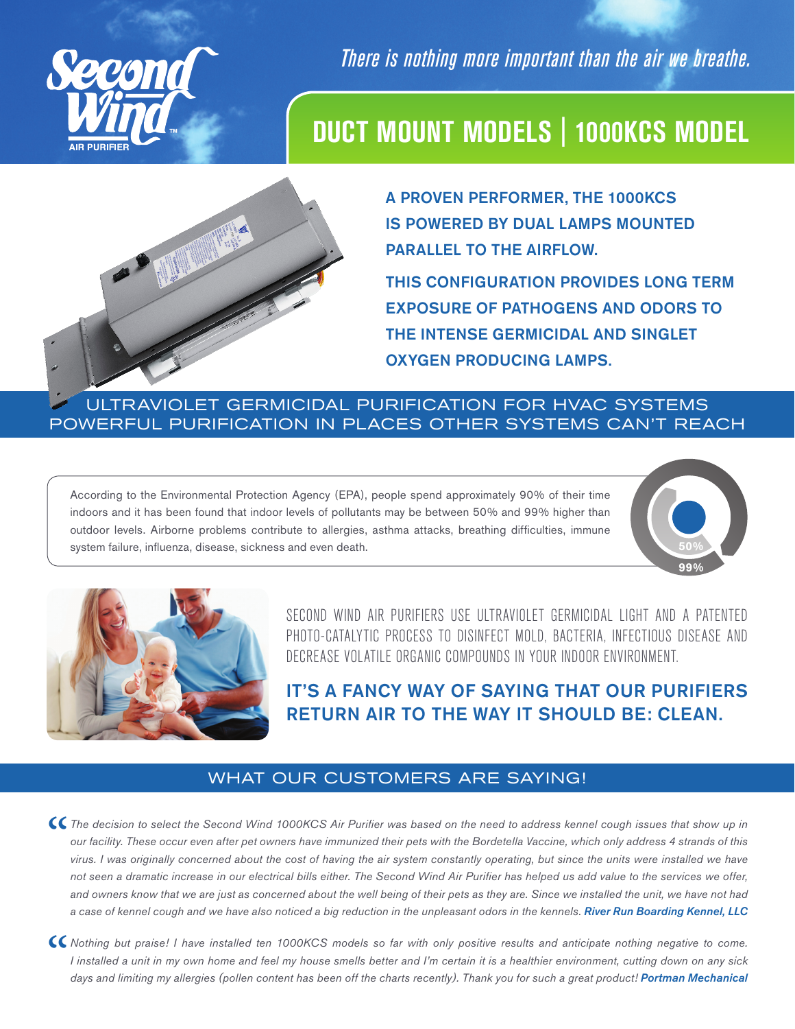

*There is nothing more important than the air we breathe.*

## **DUCT MOUNT MODELS | 1000KCS MODEL**



A PROVEN PERFORMER, THE 1000KCS IS POWERED BY DUAL LAMPS MOUNTED PARALLEL TO THE AIRFLOW. THIS CONFIGURATION PROVIDES LONG TERM EXPOSURE OF PATHOGENS AND ODORS TO THE INTENSE GERMICIDAL AND SINGLET OXYGEN PRODUCING LAMPS.

### ULTRAVIOLET GERMICIDAL PURIFICATION FOR HVAC SYSTEMS POWERFUL PURIFICATION IN PLACES OTHER SYSTEMS CAN'T REACH

According to the Environmental Protection Agency (EPA), people spend approximately 90% of their time indoors and it has been found that indoor levels of pollutants may be between 50% and 99% higher than outdoor levels. Airborne problems contribute to allergies, asthma attacks, breathing difficulties, immune system failure, influenza, disease, sickness and even death. **50%**





SECOND WIND AIR PURIFIERS USE ULTRAVIOLET GERMICIDAL LIGHT AND A PATENTED PHOTO-CATALYTIC PROCESS TO DISINFECT MOLD, BACTERIA, INFECTIOUS DISEASE AND DECREASE VOLATILE ORGANIC COMPOUNDS IN YOUR INDOOR ENVIRONMENT.

IT'S A FANCY WAY OF SAYING THAT OUR PURIFIERS RETURN AIR TO THE WAY IT SHOULD BE: CLEAN.

### WHAT OUR CUSTOMERS ARE SAYING!

CC The decision to select the Second Wind 1000KCS Air Purifier was based on the need to address kennel cough issues that show up in our facility. These occur even after pet owners have immunized their pets with the Bordete *our facility. These occur even after pet owners have immunized their pets with the Bordetella Vaccine, which only address 4 strands of this virus. I was originally concerned about the cost of having the air system constantly operating, but since the units were installed we have not seen a dramatic increase in our electrical bills either. The Second Wind Air Purifier has helped us add value to the services we offer, and owners know that we are just as concerned about the well being of their pets as they are. Since we installed the unit, we have not had a case of kennel cough and we have also noticed a big reduction in the unpleasant odors in the kennels. River Run Boarding Kennel, LLC*

*CC* Nothing but praise! I have installed ten 1000KCS models so far with only positive results and anticipate nothing negative to come.<br>I installed a unit in my own home and feel my house smells better and I'm certain it i *I installed a unit in my own home and feel my house smells better and I'm certain it is a healthier environment, cutting down on any sick days and limiting my allergies (pollen content has been off the charts recently). Thank you for such a great product! Portman Mechanical*